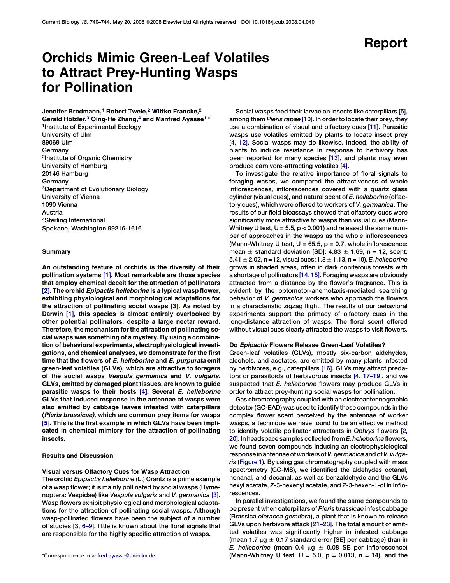## Report

# Orchids Mimic Green-Leaf Volatiles to Attract Prey-Hunting Wasps for Pollination

Jennifer Brodmann,<sup>1</sup> Robert Twele,<sup>2</sup> Wittko Francke,<sup>2</sup> Gerald Hölzler,<sup>3</sup> Qing-He Zhang,<sup>4</sup> and Manfred Ayasse<sup>1,\*</sup> 1Institute of Experimental Ecology University of Ulm 89069 Ulm Germany 2Institute of Organic Chemistry University of Hamburg 20146 Hamburg Germany 3Department of Evolutionary Biology University of Vienna 1090 Vienna Austria 4Sterling International Spokane, Washington 99216-1616

#### Summary

An outstanding feature of orchids is the diversity of their pollination systems [\[1\].](#page-3-0) Most remarkable are those species that employ chemical deceit for the attraction of pollinators [\[2\].](#page-3-0) The orchid Epipactis helleborine is a typical wasp flower, exhibiting physiological and morphological adaptations for the attraction of pollinating social wasps [\[3\]](#page-3-0). As noted by Darwin [\[1\]](#page-3-0), this species is almost entirely overlooked by other potential pollinators, despite a large nectar reward. Therefore, the mechanism for the attraction of pollinating social wasps was something of a mystery. By using a combination of behavioral experiments, electrophysiological investigations, and chemical analyses, we demonstrate for the first time that the flowers of E. helleborine and E. purpurata emit green-leaf volatiles (GLVs), which are attractive to foragers of the social wasps Vespula germanica and V. vulgaris. GLVs, emitted by damaged plant tissues, are known to guide parasitic wasps to their hosts [\[4\]](#page-3-0). Several E. helleborine GLVs that induced response in the antennae of wasps were also emitted by cabbage leaves infested with caterpillars (Pieris brassicae), which are common prey items for wasps [\[5\].](#page-3-0) This is the first example in which GLVs have been implicated in chemical mimicry for the attraction of pollinating insects.

## Results and Discussion

#### Visual versus Olfactory Cues for Wasp Attraction

The orchid Epipactis helleborine (L.) Crantz is a prime example of a wasp flower; it is mainly pollinated by social wasps (Hymenoptera: Vespidae) like Vespula vulgaris and V. germanica [\[3\]](#page-3-0). Wasp flowers exhibit physiological and morphological adaptations for the attraction of pollinating social wasps. Although wasp-pollinated flowers have been the subject of a number of studies [\[3, 6–9\]](#page-3-0), little is known about the floral signals that are responsible for the highly specific attraction of wasps.

Social wasps feed their larvae on insects like caterpillars [\[5\]](#page-3-0), among them Pieris rapae [\[10\]](#page-4-0). In order to locate their prey, they use a combination of visual and olfactory cues [\[11\].](#page-4-0) Parasitic wasps use volatiles emitted by plants to locate insect prey [\[4, 12\]](#page-3-0). Social wasps may do likewise. Indeed, the ability of plants to induce resistance in response to herbivory has been reported for many species [\[13\]](#page-4-0), and plants may even produce carnivore-attracting volatiles [\[4\].](#page-3-0)

To investigate the relative importance of floral signals to foraging wasps, we compared the attractiveness of whole inflorescences, inflorescences covered with a quartz glass cylinder (visual cues), and natural scent of E. helleborine (olfactory cues), which were offered to workers of V. germanica. The results of our field bioassays showed that olfactory cues were significantly more attractive to wasps than visual cues (Mann-Whitney U test,  $U = 5.5$ ,  $p < 0.001$ ) and released the same number of approaches in the wasps as the whole inflorescences (Mann-Whitney U test,  $U = 65.5$ ,  $p = 0.7$ , whole inflorescence: mean  $\pm$  standard deviation [SD]: 4.83  $\pm$  1.69, n = 12, scent:  $5.41 \pm 2.02$ , n = 12, visual cues:  $1.8 \pm 1.13$ , n = 10). E. helleborine grows in shaded areas, often in dark coniferous forests with a shortage of pollinators [\[14, 15\].](#page-4-0) Foraging wasps are obviously attracted from a distance by the flower's fragrance. This is evident by the optomotor-anemotaxis-mediated searching behavior of V. germanica workers who approach the flowers in a characteristic zigzag flight. The results of our behavioral experiments support the primacy of olfactory cues in the long-distance attraction of wasps. The floral scent offered without visual cues clearly attracted the wasps to visit flowers.

#### Do Epipactis Flowers Release Green-Leaf Volatiles?

Green-leaf volatiles (GLVs), mostly six-carbon aldehydes, alcohols, and acetates, are emitted by many plants infested by herbivores, e.g., caterpillars [\[16\]](#page-4-0). GLVs may attract predators or parasitoids of herbivorous insects [\[4, 17–19\]](#page-3-0), and we suspected that E. helleborine flowers may produce GLVs in order to attract prey-hunting social wasps for pollination.

Gas chromatography coupled with an electroantennographic detector (GC-EAD) was used to identify those compounds in the complex flower scent perceived by the antennae of worker wasps, a technique we have found to be an effective method to identify volatile pollinator attractants in Ophrys flowers [\[2,](#page-3-0) [20\]](#page-3-0). In headspace samples collected from E. helleborine flowers, we found seven compounds inducing an electrophysiological response in antennae of workers of V. germanica and of V. vulga-ris [\(Figure 1\)](#page-1-0). By using gas chromatography coupled with mass spectrometry (GC-MS), we identified the aldehydes octanal, nonanal, and decanal, as well as benzaldehyde and the GLVs hexyl acetate, Z-3-hexenyl acetate, and Z-3-hexen-1-ol in inflorescences.

In parallel investigations, we found the same compounds to be present when caterpillars of Pieris brassicae infest cabbage (Brassica oleracea gemifera), a plant that is known to release GLVs upon herbivore attack [\[21–23\]](#page-4-0). The total amount of emitted volatiles was significantly higher in infested cabbage (mean 1.7  $\mu$ g  $\pm$  0.17 standard error [SE] per cabbage) than in E. helleborine (mean 0.4  $\mu$ g  $\pm$  0.08 SE per inflorescence) \*Correspondence: [manfred.ayasse@uni-ulm.de](mailto:manfred.ayasse@uni-ulm.de) (Mann-Whitney U test, U = 5.0, p = 0.013, n = 14), and the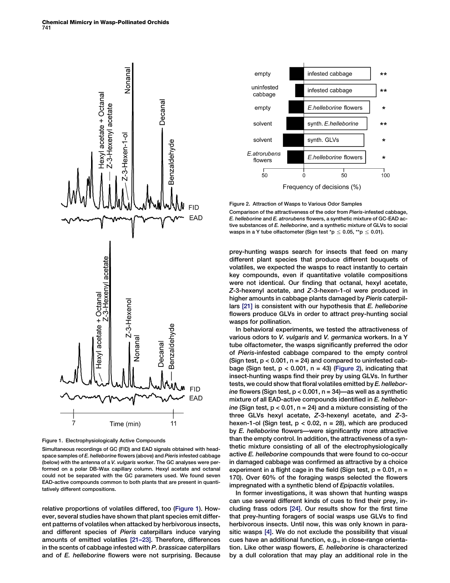<span id="page-1-0"></span>

Figure 1. Electrophysiologically Active Compounds

Simultaneous recordings of GC (FID) and EAD signals obtained with headspace samples of E. helleborine flowers (above) and Pieris infested cabbage (below) with the antenna of a V. vulgaris worker. The GC analyses were performed on a polar DB-Wax capillary column. Hexyl acetate and octanal could not be separated with the GC parameters used. We found seven EAD-active compounds common to both plants that are present in quantitatively different compositions.

relative proportions of volatiles differed, too (Figure 1). However, several studies have shown that plant species emit different patterns of volatiles when attacked by herbivorous insects, and different species of Pieris caterpillars induce varying amounts of emitted volatiles [\[21–23\]](#page-4-0). Therefore, differences in the scents of cabbage infested with P. brassicae caterpillars and of E. helleborine flowers were not surprising. Because



Figure 2. Attraction of Wasps to Various Odor Samples

Comparison of the attractiveness of the odor from Pieris-infested cabbage, E. helleborine and E. atrorubens flowers, a synthetic mixture of GC-EAD active substances of E. helleborine, and a synthetic mixture of GLVs to social wasps in a Y tube olfactometer (Sign test \*p  $\leq$  0.05, \*\*p  $\leq$  0.01).

prey-hunting wasps search for insects that feed on many different plant species that produce different bouquets of volatiles, we expected the wasps to react instantly to certain key compounds, even if quantitative volatile compositions were not identical. Our finding that octanal, hexyl acetate, Z-3-hexenyl acetate, and Z-3-hexen-1-ol were produced in higher amounts in cabbage plants damaged by Pieris caterpil-lars [\[21\]](#page-4-0) is consistent with our hypothesis that E. helleborine flowers produce GLVs in order to attract prey-hunting social wasps for pollination.

In behavioral experiments, we tested the attractiveness of various odors to V. vulgaris and V. germanica workers. In a Y tube olfactometer, the wasps significantly preferred the odor of Pieris-infested cabbage compared to the empty control (Sign test,  $p < 0.001$ ,  $n = 24$ ) and compared to uninfested cabbage (Sign test,  $p < 0.001$ ,  $n = 43$ ) (Figure 2), indicating that insect-hunting wasps find their prey by using GLVs. In further tests, we could show that floral volatiles emitted by E. helleborine flowers (Sign test,  $p < 0.001$ ,  $n = 34$ )—as well as a synthetic mixture of all EAD-active compounds identified in E. helleborine (Sign test,  $p < 0.01$ ,  $n = 24$ ) and a mixture consisting of the three GLVs hexyl acetate, Z-3-hexenyl acetate, and Z-3 hexen-1-ol (Sign test,  $p < 0.02$ ,  $n = 28$ ), which are produced by E. helleborine flowers—were significantly more attractive than the empty control. In addition, the attractiveness of a synthetic mixture consisting of all of the electrophysiologically active E. helleborine compounds that were found to co-occur in damaged cabbage was confirmed as attractive by a choice experiment in a flight cage in the field (Sign test,  $p = 0.01$ ,  $n =$ 170). Over 60% of the foraging wasps selected the flowers impregnated with a synthetic blend of Epipactis volatiles.

In former investigations, it was shown that hunting wasps can use several different kinds of cues to find their prey, including frass odors [\[24\].](#page-4-0) Our results show for the first time that prey-hunting foragers of social wasps use GLVs to find herbivorous insects. Until now, this was only known in parasitic wasps [\[4\]](#page-3-0). We do not exclude the possibility that visual cues have an additional function, e.g., in close-range orientation. Like other wasp flowers, E. helleborine is characterized by a dull coloration that may play an additional role in the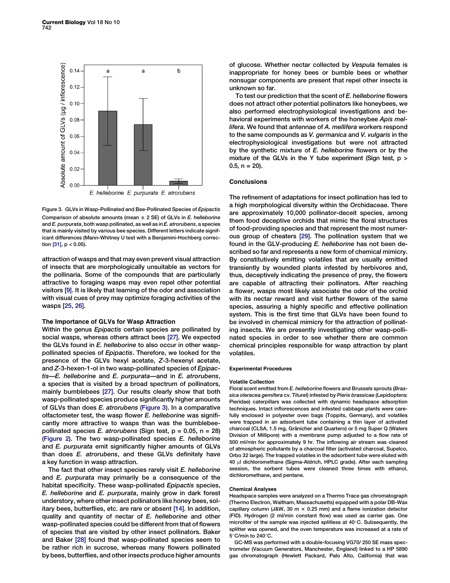

Figure 3. GLVs in Wasp-Pollinated and Bee-Pollinated Species of Epipactis Comparison of absolute amounts (mean  $\pm$  2 SE) of GLVs in E. helleborine and E. purpurata, both wasp pollinated, as well as in E. atrorubens, a species that is mainly visited by various bee species. Different letters indicate significant differences (Mann-Whitney U test with a Benjamini-Hochberg correction [\[31\]](#page-4-0), p < 0.05).

attraction of wasps and that may even prevent visual attraction of insects that are morphologically unsuitable as vectors for the pollinaria. Some of the compounds that are particularly attractive to foraging wasps may even repel other potential visitors [\[9\]](#page-4-0). It is likely that learning of the odor and association with visual cues of prey may optimize foraging activities of the wasps [\[25, 26\].](#page-4-0)

## The Importance of GLVs for Wasp Attraction

Within the genus *Epipactis* certain species are pollinated by social wasps, whereas others attract bees [\[27\].](#page-4-0) We expected the GLVs found in E. helleborine to also occur in other wasppollinated species of Epipactis. Therefore, we looked for the presence of the GLVs hexyl acetate, Z-3-hexenyl acetate, and Z-3-hexen-1-ol in two wasp-pollinated species of Epipactis—E. helleborine and E. purpurata—and in E. atrorubens, a species that is visited by a broad spectrum of pollinators, mainly bumblebees [\[27\].](#page-4-0) Our results clearly show that both wasp-pollinated species produce significantly higher amounts of GLVs than does E. atrorubens (Figure 3). In a comparative olfactometer test, the wasp flower E. helleborine was significantly more attractive to wasps than was the bumblebeepollinated species E. atrorubens (Sign test,  $p = 0.05$ ,  $n = 28$ ) ([Figure 2](#page-1-0)). The two wasp-pollinated species E. helleborine and E. purpurata emit significantly higher amounts of GLVs than does E. atrorubens, and these GLVs definitely have a key function in wasp attraction.

The fact that other insect species rarely visit E. helleborine and E. purpurata may primarily be a consequence of the habitat specificity. These wasp-pollinated Epipactis species, E. helleborine and E. purpurata, mainly grow in dark forest understory, where other insect pollinators like honey bees, solitary bees, butterflies, etc. are rare or absent [\[14\].](#page-4-0) In addition, quality and quantity of nectar of E. helleborine and other wasp-pollinated species could be different from that of flowers of species that are visited by other insect pollinators. Baker and Baker [\[28\]](#page-4-0) found that wasp-pollinated species seem to be rather rich in sucrose, whereas many flowers pollinated by bees, butterflies, and other insects produce higher amounts of glucose. Whether nectar collected by Vespula females is inappropriate for honey bees or bumble bees or whether nonsugar components are present that repel other insects is unknown so far.

To test our prediction that the scent of E. helleborine flowers does not attract other potential pollinators like honeybees, we also performed electrophysiological investigations and behavioral experiments with workers of the honeybee Apis mellifera. We found that antennae of A. mellifera workers respond to the same compounds as V. germanica and V. vulgaris in the electrophysiological investigations but were not attracted by the synthetic mixture of E. helleborine flowers or by the mixture of the GLVs in the Y tube experiment (Sign test, p >  $0.5$ ,  $n = 20$ ).

## Conclusions

The refinement of adaptations for insect pollination has led to a high morphological diversity within the Orchidaceae. There are approximately 10,000 pollinator-deceit species, among them food deceptive orchids that mimic the floral structures of food-providing species and that represent the most numerous group of cheaters [\[29\].](#page-4-0) The pollination system that we found in the GLV-producing E. helleborine has not been described so far and represents a new form of chemical mimicry. By constitutively emitting volatiles that are usually emitted transiently by wounded plants infested by herbivores and, thus, deceptively indicating the presence of prey, the flowers are capable of attracting their pollinators. After reaching a flower, wasps most likely associate the odor of the orchid with its nectar reward and visit further flowers of the same species, assuring a highly specific and effective pollination system. This is the first time that GLVs have been found to be involved in chemical mimicry for the attraction of pollinating insects. We are presently investigating other wasp-pollinated species in order to see whether there are common chemical principles responsible for wasp attraction by plant volatiles.

#### Experimental Procedures

#### Volatile Collection

Floral scent emitted from E. helleborine flowers and Brussels sprouts (Brassica oleracea gemifera cv. Titurel) infested by Pieris brassicae (Lepidoptera: Pieridae) caterpillars was collected with dynamic headspace adsorption techniques. Intact inflorescences and infested cabbage plants were carefully enclosed in polyester oven bags (Toppits, Germany), and volatiles were trapped in an adsorbent tube containing a thin layer of activated charcoal (CLSA, 1.5 mg, Gränicher and Quartero) or 5 mg Super Q (Waters Division of Millipore) with a membrane pump adjusted to a flow rate of 500 ml/min for approximately 9 hr. The inflowing air stream was cleaned of atmospheric pollutants by a charcoal filter (activated charcoal, Supelco, Orbo 32 large). The trapped volatiles in the adsorbent tube were eluted with 40 µl dichloromethane (Sigma-Aldrich, HPLC grade). After each sampling session, the sorbent tubes were cleaned three times with ethanol, dichloromethane, and pentane.

## Chemical Analyses

Headspace samples were analyzed on a Thermo Trace gas chromatograph (Thermo Electron, Waltham, Massachusetts) equipped with a polar DB-Wax capillary column (J&W, 30 m  $\times$  0.25 mm) and a flame ionization detector (FID). Hydrogen (2 ml/min constant flow) was used as carrier gas. One microliter of the sample was injected splitless at 40°C. Subsequently, the splitter was opened, and the oven temperature was increased at a rate of  $5^{\circ}$ C/min to 240 $^{\circ}$ C.

GC-MS was performed with a double-focusing VG70/ 250 SE mass spectrometer (Vacuum Generators, Manchester, England) linked to a HP 5890 gas chromatograph (Hewlett Packard, Palo Alto, California) that was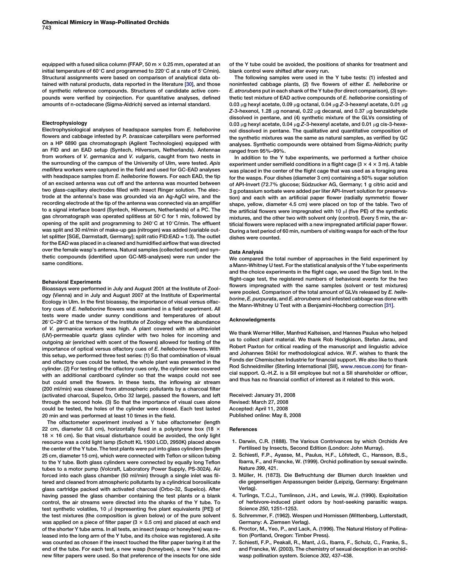<span id="page-3-0"></span>equipped with a fused silica column (FFAP, 50 m  $\times$  0.25 mm, operated at an initial temperature of 60°C and programmed to 220°C at a rate of 5°C/min). Structural assignments were based on comparison of analytical data obtained with natural products, data reported in the literature [\[30\]](#page-4-0), and those of synthetic reference compounds. Structures of candidate active compounds were verified by coinjection. For quantitative analyses, defined amounts of n-octadecane (Sigma-Aldrich) served as internal standard.

#### Electrophysiology

Electrophysiological analyses of headspace samples from E. helleborine flowers and cabbage infested by P. brassicae caterpillars were performed on a HP 6890 gas chromatograph (Agilent Technologies) equipped with an FID and an EAD setup (Syntech, Hilversum, Netherlands). Antennae from workers of V. germanica and V. vulgaris, caught from two nests in the surrounding of the campus of the University of Ulm, were tested. Apis mellifera workers were captured in the field and used for GC-EAD analyses with headspace samples from E. helleborine flowers. For each EAD, the tip of an excised antenna was cut off and the antenna was mounted between two glass-capillary electrodes filled with insect Ringer solution. The electrode at the antenna's base was grounded via an Ag-AgCl wire, and the recording electrode at the tip of the antenna was connected via an amplifier to a signal interface board (Syntech, Hilversum, Netherlands) of a PC. The gas chromatograph was operated splitless at 50°C for 1 min, followed by opening of the split and programming to 240°C at 10°C/min. The effluent was split and 30 ml/min of make-up gas (nitrogen) was added (variable outlet splitter [SGE, Darmstadt, Germany]; split ratio FID:EAD = 1:3). The outlet for the EAD was placed in a cleaned and humidified airflow that was directed over the female wasp's antenna. Natural samples (collected scent) and synthetic compounds (identified upon GC-MS-analyses) were run under the same conditions.

#### Behavioral Experiments

Bioassays were performed in July and August 2001 at the Institute of Zoology (Vienna) and in July and August 2007 at the Institute of Experimental Ecology in Ulm. In the first bioassay, the importance of visual versus olfactory cues of E. helleborine flowers was examined in a field experiment. All tests were made under sunny conditions and temperatures of about 26°C-29°C at the terrace of the Institute of Zoology where the abundance of V. germanica workers was high. A plant covered with an ultraviolet (UV)-permeable quartz glass cylinder with two holes for incoming and outgoing air (enriched with scent of the flowers) allowed for testing of the importance of optical versus olfactory cues of E. helleborine flowers. With this setup, we performed three test series: (1) So that combination of visual and olfactory cues could be tested, the whole plant was presented in the cylinder. (2) For testing of the olfactory cues only, the cylinder was covered with an additional cardboard cylinder so that the wasps could not see but could smell the flowers. In these tests, the inflowing air stream (200 ml/min) was cleaned from atmospheric pollutants by a charcoal filter (activated charcoal, Supelco, Orbo 32 large), passed the flowers, and left through the second hole. (3) So that the importance of visual cues alone could be tested, the holes of the cylinder were closed. Each test lasted 20 min and was performed at least 10 times in the field.

The olfactometer experiment involved a Y tube olfactometer (length 22 cm, diameter 0.8 cm), horizontally fixed in a polystyrene box (18  $\times$ 18  $\times$  16 cm). So that visual disturbance could be avoided, the only light resource was a cold light lamp (Schott KL 1500 LCD, 2950K) placed above the center of the Y tube. The test plants were put into glass cylinders (length 25 cm, diameter 15 cm), which were connected with Teflon or silicon tubing to the Y tube. Both glass cylinders were connected by equally long Teflon tubes to a motor pump (Volcraft, Laboratory Power Supply, PS-302A). Air forced into each glass chamber (50 ml/min) through a single inlet was filtered and cleaned from atmospheric pollutants by a cylindrical borosilicate glass cartridge packed with activated charcoal (Orbo-32, Supelco). After having passed the glass chamber containing the test plants or a blank control, the air streams were directed into the shanks of the Y tube. To test synthetic volatiles, 10  $\mu$ l (representing five plant equivalents [PE]) of the test mixtures (the composition is given below) or of the pure solvent was applied on a piece of filter paper ( $3 \times 0.5$  cm) and placed at each end of the shorter Y tube arms. In all tests, an insect (wasp or honeybee) was released into the long arm of the Y tube, and its choice was registered. A site was counted as chosen if the insect touched the filter paper baring it at the end of the tube. For each test, a new wasp (honeybee), a new Y tube, and new filter papers were used. So that preference of the insects for one side

of the Y tube could be avoided, the positions of shanks for treatment and blank control were shifted after every run.

The following samples were used in the Y tube tests: (1) infested and noninfested cabbage plants, (2) five flowers of either E. helleborine or E. atrorubens put in each shank of the Y tube (for direct comparison), (3) synthetic test mixture of EAD active compounds of E. helleborine consisting of 0.03 µg hexyl acetate, 0.09 µg octanal, 0.04 µg Z-3-hexenyl acetate, 0.01 µg Z-3-hexenol, 1.28  $\mu$ g nonanal, 0.22  $\mu$ g decanal, and 0.37  $\mu$ g benzaldehyde dissolved in pentane, and (4) synthetic mixture of the GLVs consisting of  $0.03 \,\mu$ g hexyl acetate, 0.04  $\mu$ g Z-3-hexenyl acetate, and 0.01  $\mu$ g cis-3-hexenol dissolved in pentane. The qualitative and quantitative composition of the synthetic mixtures was the same as natural samples, as verified by GC analyses. Synthetic compounds were obtained from Sigma-Aldrich; purity ranged from 95%–99%.

In addition to the Y tube experiments, we performed a further choice experiment under semifield conditions in a flight cage ( $3 \times 4 \times 3$  m). A table was placed in the center of the flight cage that was used as a foraging area for the wasps. Four dishes (diameter 3 cm) containing a 50% sugar solution of API-Invert (72.7% glucose; Südzucker AG, Germany; 1 g citric acid and 3 g potassium sorbate were added per liter API-Invert solution for preservation) and each with an artificial paper flower (radially symmetric flower shape, yellow, diameter 4.5 cm) were placed on top of the table. Two of the artificial flowers were impregnated with 10  $\mu$ l (five PE) of the synthetic mixtures, and the other two with solvent only (control). Every 5 min, the artificial flowers were replaced with a new impregnated artificial paper flower. During a test period of 60 min, numbers of visiting wasps for each of the four dishes were counted.

#### Data Analysis

We compared the total number of approaches in the field experiment by a Mann-Whitney U test. For the statistical analysis of the Y tube experiments and the choice experiments in the flight cage, we used the Sign test. In the flight-cage test, the registered numbers of behavioral events for the two flowers impregnated with the same samples (solvent or test mixtures) were pooled. Comparison of the total amount of GLVs released by E. helleborine, E. purpurata, and E. atrorubens and infested cabbage was done with the Mann-Whitney U Test with a Benjamini-Hochberg correction [\[31\]](#page-4-0).

#### Acknowledgments

We thank Werner Hiller, Manfred Kalteisen, and Hannes Paulus who helped us to collect plant material. We thank Rob Hodgkison, Stefan Jarau, and Robert Paxton for critical reading of the manuscript and linguistic advice and Johannes Stökl for methodological advice. W.F. wishes to thank the Fonds der Chemischen Industrie for financial support. We also like to thank Rod Schneidmiller (Sterling International [SII], [www.rescue.com\)](http://www.rescue.com) for financial support. Q.-H.Z. is a SII employee but not a SII shareholder or officer, and thus has no financial conflict of interest as it related to this work.

Received: January 31, 2008 Revised: March 27, 2008 Accepted: April 11, 2008 Published online: May 8, 2008

#### References

- 1. Darwin, C.R. (1888). The Various Contrivances by which Orchids Are Fertilised by Insects, Second Edition (London: John Murray).
- 2. Schiestl, F.P., Ayasse, M., Paulus, H.F., Löfstedt, C., Hansson, B.S., Ibarra, F., and Francke, W. (1999). Orchid pollination by sexual swindle. Nature 399, 421.
- 3. Müller, H. (1873). Die Befruchtung der Blumen durch Insekten und die gegenseitigen Anpassungen beider (Leipzig, Germany: Engelmann Verlag).
- 4. Turlings, T.C.J., Tumlinson, J.H., and Lewis, W.J. (1990). Exploitation of herbivore-induced plant odors by host-seeking parasitic wasps. Science 250, 1251–1253.
- 5. Schremmer, F. (1962). Wespen und Hornissen (Wittenberg, Lutterstadt, Germany: A. Ziemsen Verlag).
- 6. Proctor, M., Yeo, P., and Lack, A. (1996). The Natural History of Pollination (Portland, Oregon: Timber Press).
- 7. Schiestl, F.P., Peakall, R., Mant, J.G., Ibarra, F., Schulz, C., Franke, S., and Francke, W. (2003). The chemistry of sexual deception in an orchidwasp pollination system. Science 302, 437–438.